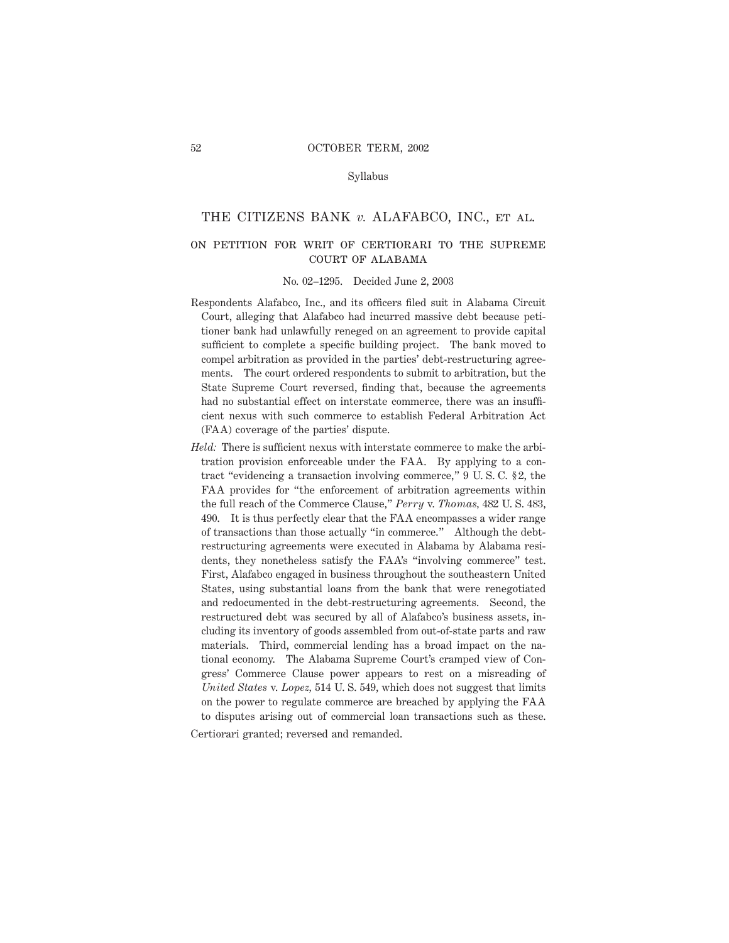#### Syllabus

#### THE CITIZENS BANK *v.* ALAFABCO, INC., et al.

# on petition for writ of certiorari to the supreme court of alabama

#### No. 02–1295. Decided June 2, 2003

- Respondents Alafabco, Inc., and its officers filed suit in Alabama Circuit Court, alleging that Alafabco had incurred massive debt because petitioner bank had unlawfully reneged on an agreement to provide capital sufficient to complete a specific building project. The bank moved to compel arbitration as provided in the parties' debt-restructuring agreements. The court ordered respondents to submit to arbitration, but the State Supreme Court reversed, finding that, because the agreements had no substantial effect on interstate commerce, there was an insufficient nexus with such commerce to establish Federal Arbitration Act (FAA) coverage of the parties' dispute.
- *Held:* There is sufficient nexus with interstate commerce to make the arbitration provision enforceable under the FAA. By applying to a contract "evidencing a transaction involving commerce," 9 U. S. C. § 2, the FAA provides for "the enforcement of arbitration agreements within the full reach of the Commerce Clause," *Perry* v. *Thomas,* 482 U. S. 483, 490. It is thus perfectly clear that the FAA encompasses a wider range of transactions than those actually "in commerce." Although the debtrestructuring agreements were executed in Alabama by Alabama residents, they nonetheless satisfy the FAA's "involving commerce" test. First, Alafabco engaged in business throughout the southeastern United States, using substantial loans from the bank that were renegotiated and redocumented in the debt-restructuring agreements. Second, the restructured debt was secured by all of Alafabco's business assets, including its inventory of goods assembled from out-of-state parts and raw materials. Third, commercial lending has a broad impact on the national economy. The Alabama Supreme Court's cramped view of Congress' Commerce Clause power appears to rest on a misreading of *United States* v. *Lopez,* 514 U. S. 549, which does not suggest that limits on the power to regulate commerce are breached by applying the FAA to disputes arising out of commercial loan transactions such as these.

Certiorari granted; reversed and remanded.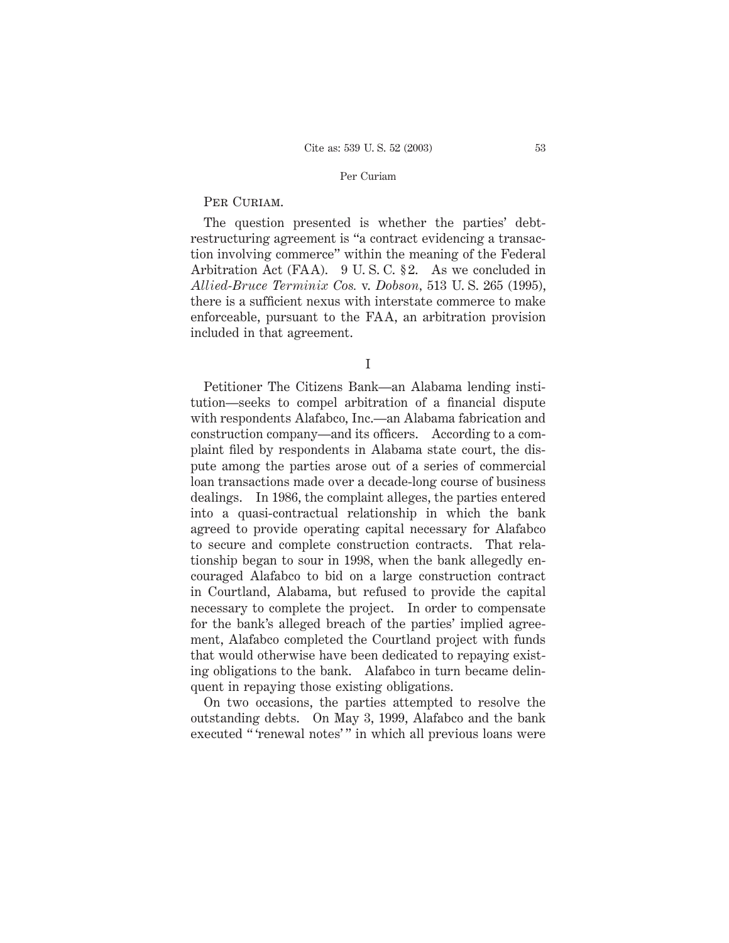# PER CURIAM.

The question presented is whether the parties' debtrestructuring agreement is "a contract evidencing a transaction involving commerce" within the meaning of the Federal Arbitration Act (FAA). 9 U. S. C. § 2. As we concluded in *Allied-Bruce Terminix Cos.* v. *Dobson,* 513 U. S. 265 (1995), there is a sufficient nexus with interstate commerce to make enforceable, pursuant to the FAA, an arbitration provision included in that agreement.

I

Petitioner The Citizens Bank—an Alabama lending institution—seeks to compel arbitration of a financial dispute with respondents Alafabco, Inc.—an Alabama fabrication and construction company—and its officers. According to a complaint filed by respondents in Alabama state court, the dispute among the parties arose out of a series of commercial loan transactions made over a decade-long course of business dealings. In 1986, the complaint alleges, the parties entered into a quasi-contractual relationship in which the bank agreed to provide operating capital necessary for Alafabco to secure and complete construction contracts. That relationship began to sour in 1998, when the bank allegedly encouraged Alafabco to bid on a large construction contract in Courtland, Alabama, but refused to provide the capital necessary to complete the project. In order to compensate for the bank's alleged breach of the parties' implied agreement, Alafabco completed the Courtland project with funds that would otherwise have been dedicated to repaying existing obligations to the bank. Alafabco in turn became delinquent in repaying those existing obligations.

On two occasions, the parties attempted to resolve the outstanding debts. On May 3, 1999, Alafabco and the bank executed "'renewal notes'" in which all previous loans were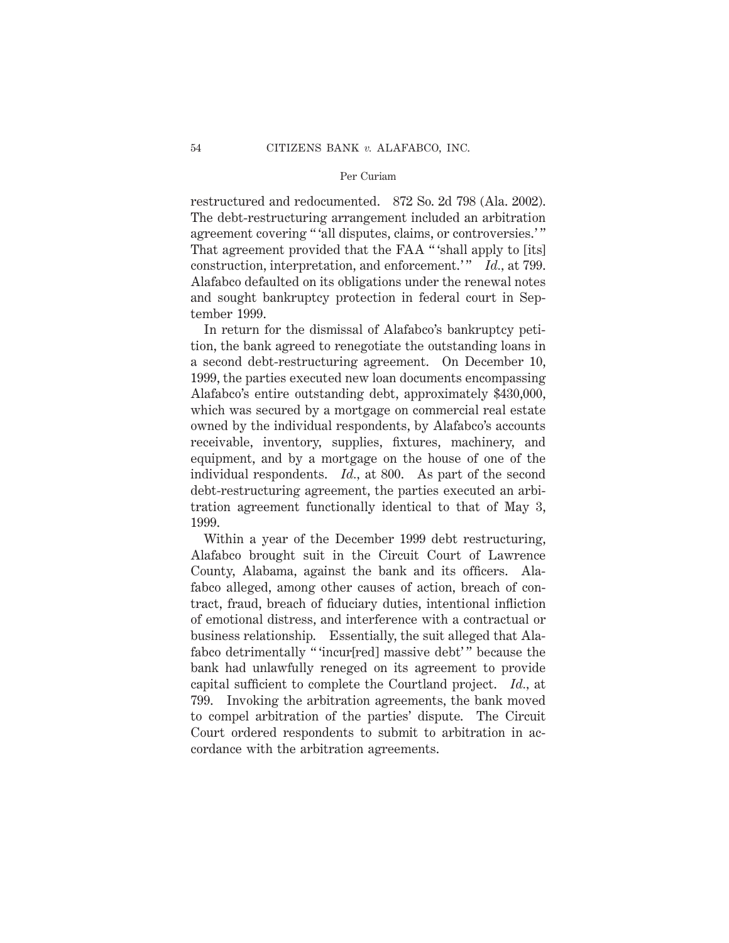restructured and redocumented. 872 So. 2d 798 (Ala. 2002). The debt-restructuring arrangement included an arbitration agreement covering "'all disputes, claims, or controversies.'" That agreement provided that the FAA " 'shall apply to [its] construction, interpretation, and enforcement.'" *Id.*, at 799. Alafabco defaulted on its obligations under the renewal notes and sought bankruptcy protection in federal court in September 1999.

In return for the dismissal of Alafabco's bankruptcy petition, the bank agreed to renegotiate the outstanding loans in a second debt-restructuring agreement. On December 10, 1999, the parties executed new loan documents encompassing Alafabco's entire outstanding debt, approximately \$430,000, which was secured by a mortgage on commercial real estate owned by the individual respondents, by Alafabco's accounts receivable, inventory, supplies, fixtures, machinery, and equipment, and by a mortgage on the house of one of the individual respondents. *Id.,* at 800. As part of the second debt-restructuring agreement, the parties executed an arbitration agreement functionally identical to that of May 3, 1999.

Within a year of the December 1999 debt restructuring, Alafabco brought suit in the Circuit Court of Lawrence County, Alabama, against the bank and its officers. Alafabco alleged, among other causes of action, breach of contract, fraud, breach of fiduciary duties, intentional infliction of emotional distress, and interference with a contractual or business relationship. Essentially, the suit alleged that Alafabco detrimentally "'incur[red] massive debt'" because the bank had unlawfully reneged on its agreement to provide capital sufficient to complete the Courtland project. *Id.,* at 799. Invoking the arbitration agreements, the bank moved to compel arbitration of the parties' dispute. The Circuit Court ordered respondents to submit to arbitration in accordance with the arbitration agreements.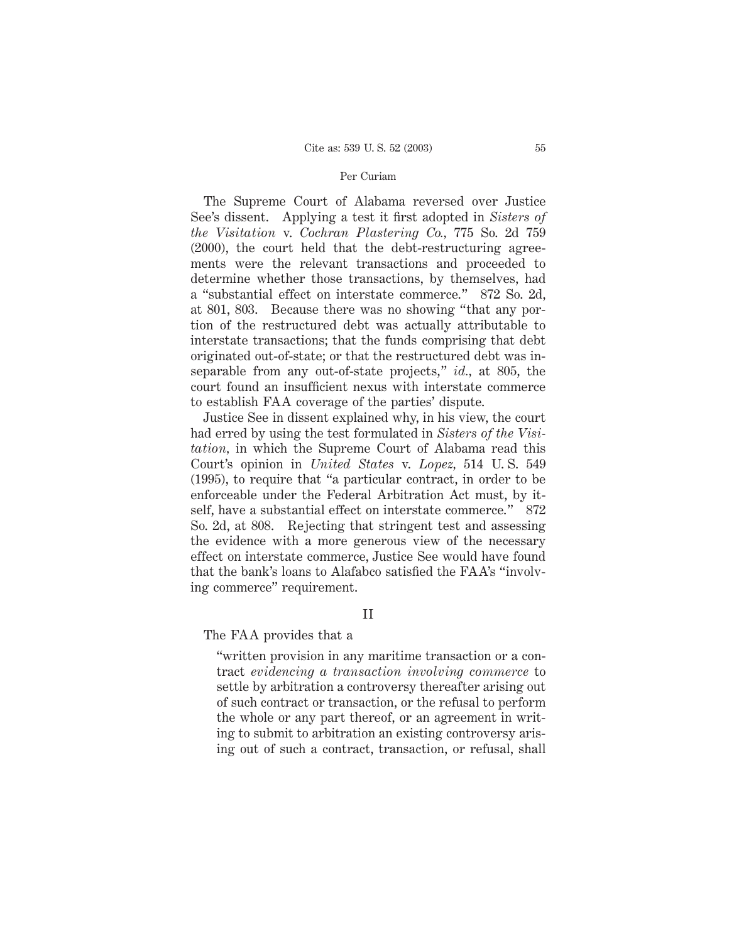The Supreme Court of Alabama reversed over Justice See's dissent. Applying a test it first adopted in *Sisters of the Visitation* v. *Cochran Plastering Co.,* 775 So. 2d 759 (2000), the court held that the debt-restructuring agreements were the relevant transactions and proceeded to determine whether those transactions, by themselves, had a "substantial effect on interstate commerce." 872 So. 2d, at 801, 803. Because there was no showing "that any portion of the restructured debt was actually attributable to interstate transactions; that the funds comprising that debt originated out-of-state; or that the restructured debt was inseparable from any out-of-state projects," *id.,* at 805, the court found an insufficient nexus with interstate commerce to establish FAA coverage of the parties' dispute.

Justice See in dissent explained why, in his view, the court had erred by using the test formulated in *Sisters of the Visitation,* in which the Supreme Court of Alabama read this Court's opinion in *United States* v. *Lopez,* 514 U. S. 549 (1995), to require that "a particular contract, in order to be enforceable under the Federal Arbitration Act must, by itself, have a substantial effect on interstate commerce." 872 So. 2d, at 808. Rejecting that stringent test and assessing the evidence with a more generous view of the necessary effect on interstate commerce, Justice See would have found that the bank's loans to Alafabco satisfied the FAA's "involving commerce" requirement.

#### II

## The FAA provides that a

"written provision in any maritime transaction or a contract *evidencing a transaction involving commerce* to settle by arbitration a controversy thereafter arising out of such contract or transaction, or the refusal to perform the whole or any part thereof, or an agreement in writing to submit to arbitration an existing controversy arising out of such a contract, transaction, or refusal, shall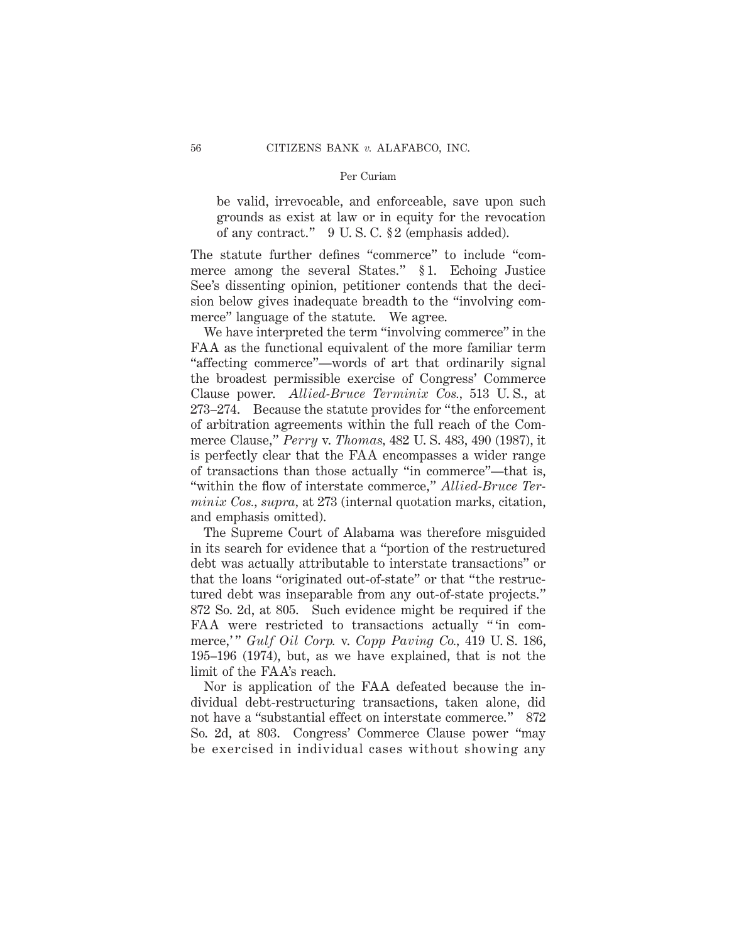be valid, irrevocable, and enforceable, save upon such grounds as exist at law or in equity for the revocation of any contract." 9 U. S. C. § 2 (emphasis added).

The statute further defines "commerce" to include "commerce among the several States." § 1. Echoing Justice See's dissenting opinion, petitioner contends that the decision below gives inadequate breadth to the "involving commerce" language of the statute. We agree.

We have interpreted the term "involving commerce" in the FAA as the functional equivalent of the more familiar term "affecting commerce"—words of art that ordinarily signal the broadest permissible exercise of Congress' Commerce Clause power. *Allied-Bruce Terminix Cos.,* 513 U. S., at 273–274. Because the statute provides for "the enforcement of arbitration agreements within the full reach of the Commerce Clause," *Perry* v. *Thomas,* 482 U. S. 483, 490 (1987), it is perfectly clear that the FAA encompasses a wider range of transactions than those actually "in commerce"—that is, "within the flow of interstate commerce," *Allied-Bruce Terminix Cos., supra,* at 273 (internal quotation marks, citation, and emphasis omitted).

The Supreme Court of Alabama was therefore misguided in its search for evidence that a "portion of the restructured debt was actually attributable to interstate transactions" or that the loans "originated out-of-state" or that "the restructured debt was inseparable from any out-of-state projects." 872 So. 2d, at 805. Such evidence might be required if the FAA were restricted to transactions actually " 'in commerce,'" *Gulf Oil Corp.* v. *Copp Paving Co.*, 419 U.S. 186, 195–196 (1974), but, as we have explained, that is not the limit of the FAA's reach.

Nor is application of the FAA defeated because the individual debt-restructuring transactions, taken alone, did not have a "substantial effect on interstate commerce." 872 So. 2d, at 803. Congress' Commerce Clause power "may be exercised in individual cases without showing any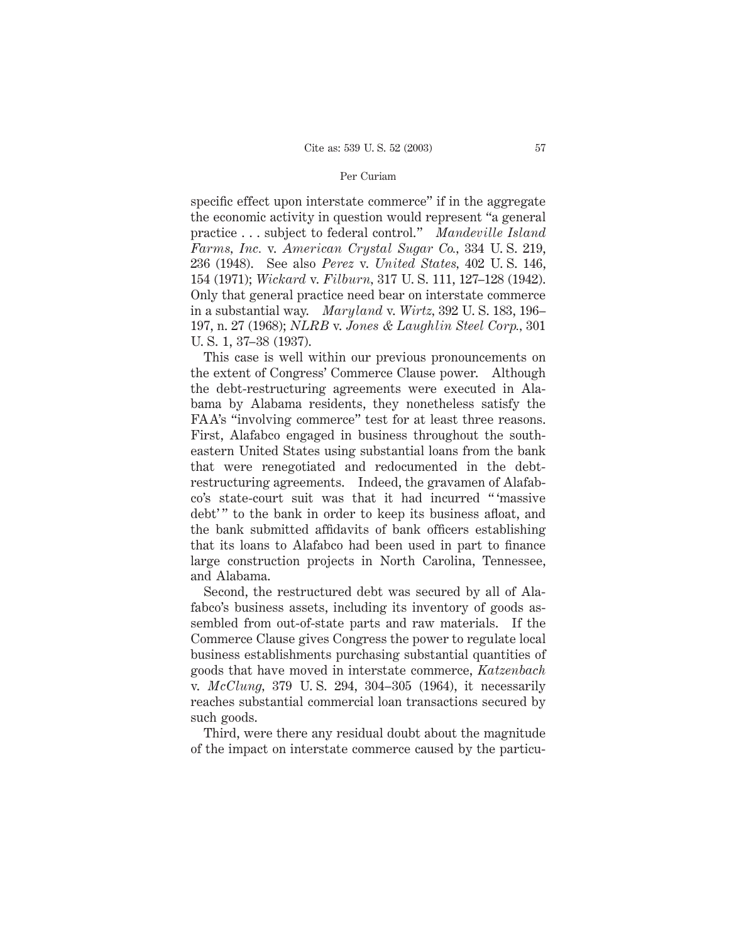specific effect upon interstate commerce" if in the aggregate the economic activity in question would represent "a general practice . . . subject to federal control." *Mandeville Island Farms, Inc.* v. *American Crystal Sugar Co.,* 334 U. S. 219, 236 (1948). See also *Perez* v. *United States,* 402 U. S. 146, 154 (1971); *Wickard* v. *Filburn,* 317 U. S. 111, 127–128 (1942). Only that general practice need bear on interstate commerce in a substantial way. *Maryland* v. *Wirtz,* 392 U. S. 183, 196– 197, n. 27 (1968); *NLRB* v. *Jones & Laughlin Steel Corp.,* 301 U. S. 1, 37–38 (1937).

This case is well within our previous pronouncements on the extent of Congress' Commerce Clause power. Although the debt-restructuring agreements were executed in Alabama by Alabama residents, they nonetheless satisfy the FAA's "involving commerce" test for at least three reasons. First, Alafabco engaged in business throughout the southeastern United States using substantial loans from the bank that were renegotiated and redocumented in the debtrestructuring agreements. Indeed, the gravamen of Alafabco's state-court suit was that it had incurred " 'massive debt'" to the bank in order to keep its business afloat, and the bank submitted affidavits of bank officers establishing that its loans to Alafabco had been used in part to finance large construction projects in North Carolina, Tennessee, and Alabama.

Second, the restructured debt was secured by all of Alafabco's business assets, including its inventory of goods assembled from out-of-state parts and raw materials. If the Commerce Clause gives Congress the power to regulate local business establishments purchasing substantial quantities of goods that have moved in interstate commerce, *Katzenbach* v. *McClung,* 379 U. S. 294, 304–305 (1964), it necessarily reaches substantial commercial loan transactions secured by such goods.

Third, were there any residual doubt about the magnitude of the impact on interstate commerce caused by the particu-